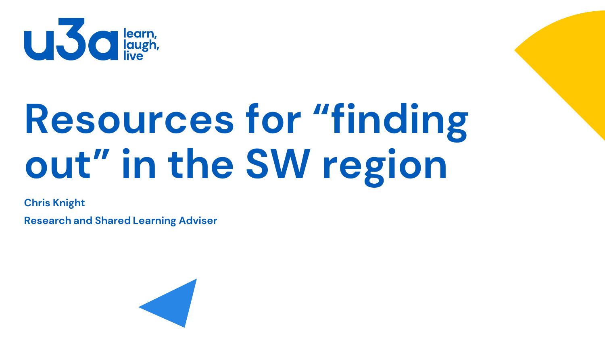

# **Resources for "finding out" in the SW region**

**Chris Knight**

**Research and Shared Learning Adviser**

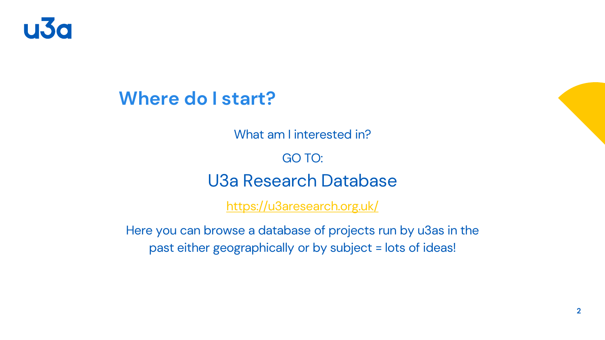

## **Where do I start?**

What am I interested in?

GO TO: U3a Research Database

<https://u3aresearch.org.uk/>

Here you can browse a database of projects run by u3as in the past either geographically or by subject = lots of ideas!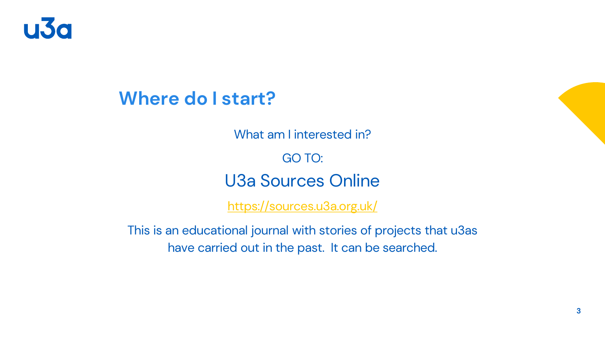

## **Where do I start?**

What am I interested in?

GO TO: U3a Sources Online

<https://sources.u3a.org.uk/>

This is an educational journal with stories of projects that u3as have carried out in the past. It can be searched.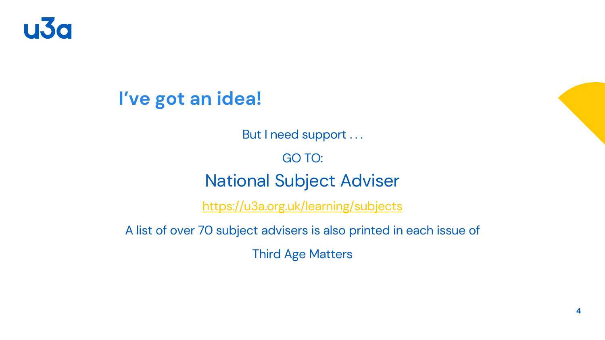

# **I've got an idea!**

But I need support ...

#### GO TO: National Subject Adviser

<https://u3a.org.uk/learning/subjects>

A list of over 70 subject advisers is also printed in each issue of

Third Age Matters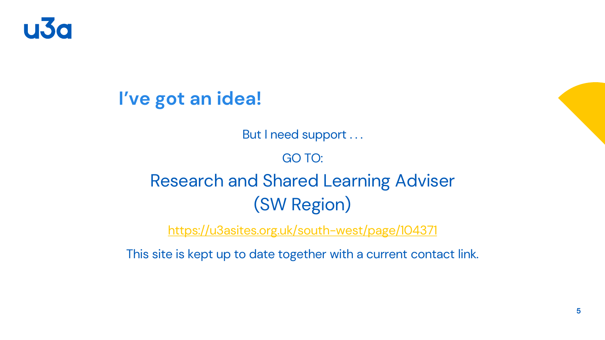

# **I've got an idea!**

But I need support ...

# GO TO: Research and Shared Learning Adviser (SW Region)

<https://u3asites.org.uk/south-west/page/104371>

This site is kept up to date together with a current contact link.